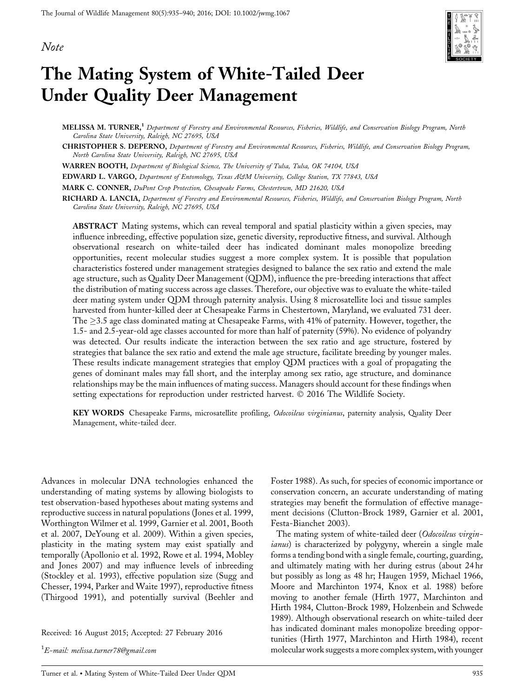Note



# The Mating System of White-Tailed Deer Under Quality Deer Management

MELISSA M. TURNER,<sup>1</sup> Department of Forestry and Environmental Resources, Fisheries, Wildlife, and Conservation Biology Program, North Carolina State University, Raleigh, NC 27695, USA

CHRISTOPHER S. DEPERNO, Department of Forestry and Environmental Resources, Fisheries, Wildlife, and Conservation Biology Program, North Carolina State University, Raleigh, NC 27695, USA

WARREN BOOTH, Department of Biological Science, The University of Tulsa, Tulsa, OK 74104, USA

EDWARD L. VARGO, Department of Entomology, Texas A&M University, College Station, TX 77843, USA

MARK C. CONNER, DuPont Crop Protection, Chesapeake Farms, Chestertown, MD 21620, USA

RICHARD A. LANCIA, Department of Forestry and Environmental Resources, Fisheries, Wildlife, and Conservation Biology Program, North Carolina State University, Raleigh, NC 27695, USA

ABSTRACT Mating systems, which can reveal temporal and spatial plasticity within a given species, may influence inbreeding, effective population size, genetic diversity, reproductive fitness, and survival. Although observational research on white-tailed deer has indicated dominant males monopolize breeding opportunities, recent molecular studies suggest a more complex system. It is possible that population characteristics fostered under management strategies designed to balance the sex ratio and extend the male age structure, such as Quality Deer Management (QDM), influence the pre-breeding interactions that affect the distribution of mating success across age classes. Therefore, our objective was to evaluate the white-tailed deer mating system under QDM through paternity analysis. Using 8 microsatellite loci and tissue samples harvested from hunter-killed deer at Chesapeake Farms in Chestertown, Maryland, we evaluated 731 deer. The  $\geq$ 3.5 age class dominated mating at Chesapeake Farms, with 41% of paternity. However, together, the 1.5- and 2.5-year-old age classes accounted for more than half of paternity (59%). No evidence of polyandry was detected. Our results indicate the interaction between the sex ratio and age structure, fostered by strategies that balance the sex ratio and extend the male age structure, facilitate breeding by younger males. These results indicate management strategies that employ QDM practices with a goal of propagating the genes of dominant males may fall short, and the interplay among sex ratio, age structure, and dominance relationships may be the main influences of mating success. Managers should account for these findings when setting expectations for reproduction under restricted harvest.  $\odot$  2016 The Wildlife Society.

KEY WORDS Chesapeake Farms, microsatellite profiling, Odocoileus virginianus, paternity analysis, Quality Deer Management, white-tailed deer.

Advances in molecular DNA technologies enhanced the understanding of mating systems by allowing biologists to test observation-based hypotheses about mating systems and reproductive success in natural populations (Jones et al. 1999, Worthington Wilmer et al. 1999, Garnier et al. 2001, Booth et al. 2007, DeYoung et al. 2009). Within a given species, plasticity in the mating system may exist spatially and temporally (Apollonio et al. 1992, Rowe et al. 1994, Mobley and Jones 2007) and may influence levels of inbreeding (Stockley et al. 1993), effective population size (Sugg and Chesser, 1994, Parker and Waite 1997), reproductive fitness (Thirgood 1991), and potentially survival (Beehler and

Received: 16 August 2015; Accepted: 27 February 2016

 $^1E\!\!-\!$ mail: melissa.turner $78$ @gmail.com

Foster 1988). As such, for species of economic importance or conservation concern, an accurate understanding of mating strategies may benefit the formulation of effective management decisions (Clutton-Brock 1989, Garnier et al. 2001, Festa-Bianchet 2003).

The mating system of white-tailed deer (Odocoileus virginianus) is characterized by polygyny, wherein a single male forms a tending bond with a single female, courting, guarding, and ultimately mating with her during estrus (about 24 hr but possibly as long as 48 hr; Haugen 1959, Michael 1966, Moore and Marchinton 1974, Knox et al. 1988) before moving to another female (Hirth 1977, Marchinton and Hirth 1984, Clutton-Brock 1989, Holzenbein and Schwede 1989). Although observational research on white-tailed deer has indicated dominant males monopolize breeding opportunities (Hirth 1977, Marchinton and Hirth 1984), recent molecular work suggests a more complex system, with younger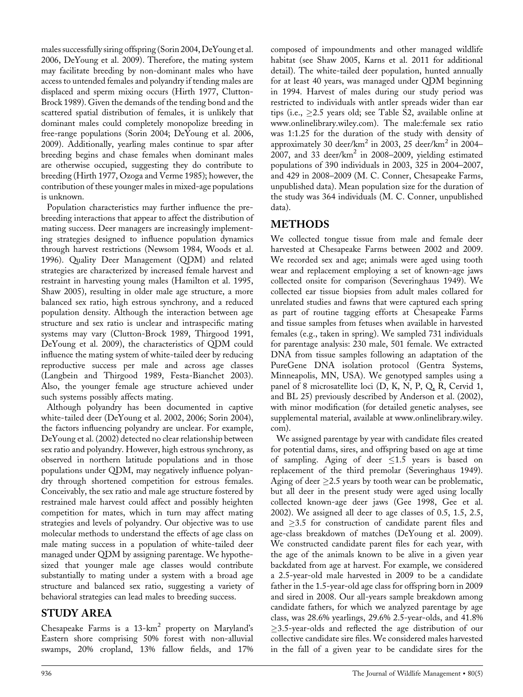males successfully siring offspring (Sorin 2004, DeYoung et al. 2006, DeYoung et al. 2009). Therefore, the mating system may facilitate breeding by non-dominant males who have access to untended females and polyandry if tending males are displaced and sperm mixing occurs (Hirth 1977, Clutton-Brock 1989). Given the demands of the tending bond and the scattered spatial distribution of females, it is unlikely that dominant males could completely monopolize breeding in free-range populations (Sorin 2004; DeYoung et al. 2006, 2009). Additionally, yearling males continue to spar after breeding begins and chase females when dominant males are otherwise occupied, suggesting they do contribute to breeding (Hirth 1977, Ozoga and Verme 1985); however, the contribution of these younger males in mixed-age populations is unknown.

Population characteristics may further influence the prebreeding interactions that appear to affect the distribution of mating success. Deer managers are increasingly implementing strategies designed to influence population dynamics through harvest restrictions (Newsom 1984, Woods et al. 1996). Quality Deer Management (QDM) and related strategies are characterized by increased female harvest and restraint in harvesting young males (Hamilton et al. 1995, Shaw 2005), resulting in older male age structure, a more balanced sex ratio, high estrous synchrony, and a reduced population density. Although the interaction between age structure and sex ratio is unclear and intraspecific mating systems may vary (Clutton-Brock 1989, Thirgood 1991, DeYoung et al. 2009), the characteristics of QDM could influence the mating system of white-tailed deer by reducing reproductive success per male and across age classes (Langbein and Thirgood 1989, Festa-Bianchet 2003). Also, the younger female age structure achieved under such systems possibly affects mating.

Although polyandry has been documented in captive white-tailed deer (DeYoung et al. 2002, 2006; Sorin 2004), the factors influencing polyandry are unclear. For example, DeYoung et al. (2002) detected no clear relationship between sex ratio and polyandry. However, high estrous synchrony, as observed in northern latitude populations and in those populations under QDM, may negatively influence polyandry through shortened competition for estrous females. Conceivably, the sex ratio and male age structure fostered by restrained male harvest could affect and possibly heighten competition for mates, which in turn may affect mating strategies and levels of polyandry. Our objective was to use molecular methods to understand the effects of age class on male mating success in a population of white-tailed deer managed under QDM by assigning parentage. We hypothesized that younger male age classes would contribute substantially to mating under a system with a broad age structure and balanced sex ratio, suggesting a variety of behavioral strategies can lead males to breeding success.

## STUDY AREA

Chesapeake Farms is a  $13\text{-}km^2$  property on Maryland's Eastern shore comprising 50% forest with non-alluvial swamps, 20% cropland, 13% fallow fields, and 17% composed of impoundments and other managed wildlife habitat (see Shaw 2005, Karns et al. 2011 for additional detail). The white-tailed deer population, hunted annually for at least 40 years, was managed under QDM beginning in 1994. Harvest of males during our study period was restricted to individuals with antler spreads wider than ear tips (i.e.,  $\geq$ 2.5 years old; see Table S2, available online at [www.onlinelibrary.wiley.com](http://www.onlinelibrary.wiley.com)). The male:female sex ratio was 1:1.25 for the duration of the study with density of approximately 30 deer/km<sup>2</sup> in 2003, 25 deer/km<sup>2</sup> in 2004– 2007, and 33 deer/ $km^2$  in 2008–2009, yielding estimated populations of 390 individuals in 2003, 325 in 2004–2007, and 429 in 2008–2009 (M. C. Conner, Chesapeake Farms, unpublished data). Mean population size for the duration of the study was 364 individuals (M. C. Conner, unpublished data).

# METHODS

We collected tongue tissue from male and female deer harvested at Chesapeake Farms between 2002 and 2009. We recorded sex and age; animals were aged using tooth wear and replacement employing a set of known-age jaws collected onsite for comparison (Severinghaus 1949). We collected ear tissue biopsies from adult males collared for unrelated studies and fawns that were captured each spring as part of routine tagging efforts at Chesapeake Farms and tissue samples from fetuses when available in harvested females (e.g., taken in spring). We sampled 731 individuals for parentage analysis: 230 male, 501 female. We extracted DNA from tissue samples following an adaptation of the PureGene DNA isolation protocol (Gentra Systems, Minneapolis, MN, USA). We genotyped samples using a panel of 8 microsatellite loci (D, K, N, P, Q, R, Cervid 1, and BL 25) previously described by Anderson et al. (2002), with minor modification (for detailed genetic analyses, see supplemental material, available at [www.onlinelibrary.wiley.](http://www.onlinelibrary.wiley.com) [com\)](http://www.onlinelibrary.wiley.com).

We assigned parentage by year with candidate files created for potential dams, sires, and offspring based on age at time of sampling. Aging of deer  $\leq 1.5$  years is based on replacement of the third premolar (Severinghaus 1949). Aging of deer  $\geq$  2.5 years by tooth wear can be problematic, but all deer in the present study were aged using locally collected known-age deer jaws (Gee 1998, Gee et al. 2002). We assigned all deer to age classes of 0.5, 1.5, 2.5, and  $\geq$ 3.5 for construction of candidate parent files and age-class breakdown of matches (DeYoung et al. 2009). We constructed candidate parent files for each year, with the age of the animals known to be alive in a given year backdated from age at harvest. For example, we considered a 2.5-year-old male harvested in 2009 to be a candidate father in the 1.5-year-old age class for offspring born in 2009 and sired in 2008. Our all-years sample breakdown among candidate fathers, for which we analyzed parentage by age class, was 28.6% yearlings, 29.6% 2.5-year-olds, and 41.8%  $\geq$ 3.5-year-olds and reflected the age distribution of our collective candidate sire files. We considered males harvested in the fall of a given year to be candidate sires for the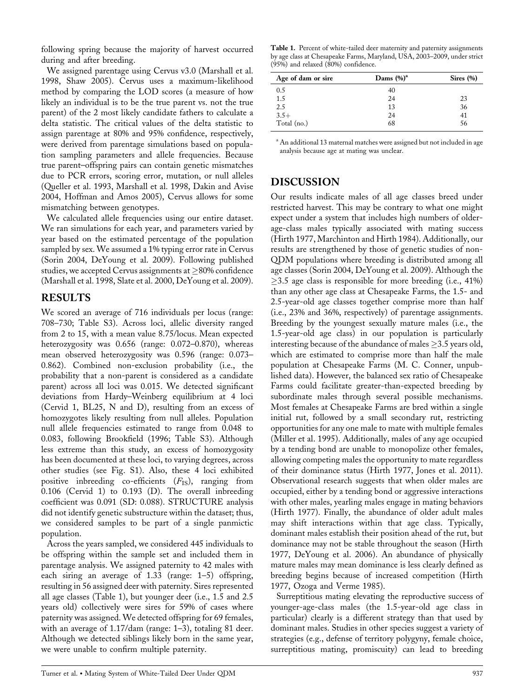following spring because the majority of harvest occurred during and after breeding.

We assigned parentage using Cervus v3.0 (Marshall et al. 1998, Shaw 2005). Cervus uses a maximum-likelihood method by comparing the LOD scores (a measure of how likely an individual is to be the true parent vs. not the true parent) of the 2 most likely candidate fathers to calculate a delta statistic. The critical values of the delta statistic to assign parentage at 80% and 95% confidence, respectively, were derived from parentage simulations based on population sampling parameters and allele frequencies. Because true parent–offspring pairs can contain genetic mismatches due to PCR errors, scoring error, mutation, or null alleles (Queller et al. 1993, Marshall et al. 1998, Dakin and Avise 2004, Hoffman and Amos 2005), Cervus allows for some mismatching between genotypes.

We calculated allele frequencies using our entire dataset. We ran simulations for each year, and parameters varied by year based on the estimated percentage of the population sampled by sex. We assumed a 1% typing error rate in Cervus (Sorin 2004, DeYoung et al. 2009). Following published studies, we accepted Cervus assignments at  $\geq$ 80% confidence (Marshall et al. 1998, Slate et al. 2000, DeYoung et al. 2009).

### RESULTS

We scored an average of 716 individuals per locus (range: 708–730; Table S3). Across loci, allelic diversity ranged from 2 to 15, with a mean value 8.75/locus. Mean expected heterozygosity was 0.656 (range: 0.072–0.870), whereas mean observed heterozygosity was 0.596 (range: 0.073– 0.862). Combined non-exclusion probability (i.e., the probability that a non-parent is considered as a candidate parent) across all loci was 0.015. We detected significant deviations from Hardy–Weinberg equilibrium at 4 loci (Cervid 1, BL25, N and D), resulting from an excess of homozygotes likely resulting from null alleles. Population null allele frequencies estimated to range from 0.048 to 0.083, following Brookfield (1996; Table S3). Although less extreme than this study, an excess of homozygosity has been documented at these loci, to varying degrees, across other studies (see Fig. S1). Also, these 4 loci exhibited positive inbreeding co-efficients  $(F_{IS})$ , ranging from 0.106 (Cervid 1) to 0.193 (D). The overall inbreeding coefficient was 0.091 (SD: 0.088). STRUCTURE analysis did not identify genetic substructure within the dataset; thus, we considered samples to be part of a single panmictic population.

Across the years sampled, we considered 445 individuals to be offspring within the sample set and included them in parentage analysis. We assigned paternity to 42 males with each siring an average of 1.33 (range: 1–5) offspring, resulting in 56 assigned deer with paternity. Sires represented all age classes (Table 1), but younger deer (i.e., 1.5 and 2.5 years old) collectively were sires for 59% of cases where paternity was assigned. We detected offspring for 69 females, with an average of 1.17/dam (range: 1–3), totaling 81 deer. Although we detected siblings likely born in the same year, we were unable to confirm multiple paternity.

Table 1. Percent of white-tailed deer maternity and paternity assignments by age class at Chesapeake Farms, Maryland, USA, 2003–2009, under strict (95%) and relaxed (80%) confidence.

| Age of dam or sire | Dams $(\%)^a$ | Sires $(\% )$ |
|--------------------|---------------|---------------|
| 0.5                | 40            |               |
| 1.5                | 24            | 23            |
| 2.5                | 13            | 36            |
| $3.5+$             | 24            | 41            |
| Total (no.)        | 68            | 56            |

<sup>a</sup> An additional 13 maternal matches were assigned but not included in age analysis because age at mating was unclear.

#### DISCUSSION

Our results indicate males of all age classes breed under restricted harvest. This may be contrary to what one might expect under a system that includes high numbers of olderage-class males typically associated with mating success (Hirth 1977, Marchinton and Hirth 1984). Additionally, our results are strengthened by those of genetic studies of non-QDM populations where breeding is distributed among all age classes (Sorin 2004, DeYoung et al. 2009). Although the  $\geq$ 3.5 age class is responsible for more breeding (i.e., 41%) than any other age class at Chesapeake Farms, the 1.5- and 2.5-year-old age classes together comprise more than half (i.e., 23% and 36%, respectively) of parentage assignments. Breeding by the youngest sexually mature males (i.e., the 1.5-year-old age class) in our population is particularly interesting because of the abundance of males  $\geq$ 3.5 years old, which are estimated to comprise more than half the male population at Chesapeake Farms (M. C. Conner, unpublished data). However, the balanced sex ratio of Chesapeake Farms could facilitate greater-than-expected breeding by subordinate males through several possible mechanisms. Most females at Chesapeake Farms are bred within a single initial rut, followed by a small secondary rut, restricting opportunities for any one male to mate with multiple females (Miller et al. 1995). Additionally, males of any age occupied by a tending bond are unable to monopolize other females, allowing competing males the opportunity to mate regardless of their dominance status (Hirth 1977, Jones et al. 2011). Observational research suggests that when older males are occupied, either by a tending bond or aggressive interactions with other males, yearling males engage in mating behaviors (Hirth 1977). Finally, the abundance of older adult males may shift interactions within that age class. Typically, dominant males establish their position ahead of the rut, but dominance may not be stable throughout the season (Hirth 1977, DeYoung et al. 2006). An abundance of physically mature males may mean dominance is less clearly defined as breeding begins because of increased competition (Hirth 1977, Ozoga and Verme 1985).

Surreptitious mating elevating the reproductive success of younger-age-class males (the 1.5-year-old age class in particular) clearly is a different strategy than that used by dominant males. Studies in other species suggest a variety of strategies (e.g., defense of territory polygyny, female choice, surreptitious mating, promiscuity) can lead to breeding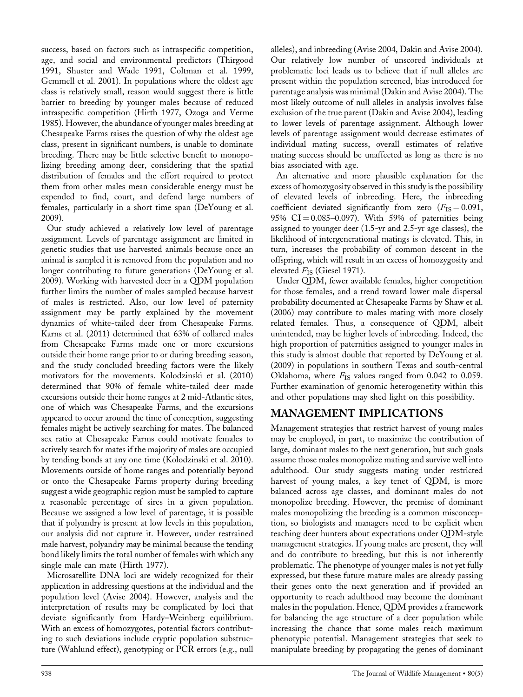success, based on factors such as intraspecific competition, age, and social and environmental predictors (Thirgood 1991, Shuster and Wade 1991, Coltman et al. 1999, Gemmell et al. 2001). In populations where the oldest age class is relatively small, reason would suggest there is little barrier to breeding by younger males because of reduced intraspecific competition (Hirth 1977, Ozoga and Verme 1985). However, the abundance of younger males breeding at Chesapeake Farms raises the question of why the oldest age class, present in significant numbers, is unable to dominate breeding. There may be little selective benefit to monopolizing breeding among deer, considering that the spatial distribution of females and the effort required to protect them from other males mean considerable energy must be expended to find, court, and defend large numbers of females, particularly in a short time span (DeYoung et al. 2009).

Our study achieved a relatively low level of parentage assignment. Levels of parentage assignment are limited in genetic studies that use harvested animals because once an animal is sampled it is removed from the population and no longer contributing to future generations (DeYoung et al. 2009). Working with harvested deer in a QDM population further limits the number of males sampled because harvest of males is restricted. Also, our low level of paternity assignment may be partly explained by the movement dynamics of white-tailed deer from Chesapeake Farms. Karns et al. (2011) determined that 63% of collared males from Chesapeake Farms made one or more excursions outside their home range prior to or during breeding season, and the study concluded breeding factors were the likely motivators for the movements. Kolodzinski et al. (2010) determined that 90% of female white-tailed deer made excursions outside their home ranges at 2 mid-Atlantic sites, one of which was Chesapeake Farms, and the excursions appeared to occur around the time of conception, suggesting females might be actively searching for mates. The balanced sex ratio at Chesapeake Farms could motivate females to actively search for mates if the majority of males are occupied by tending bonds at any one time (Kolodzinski et al. 2010). Movements outside of home ranges and potentially beyond or onto the Chesapeake Farms property during breeding suggest a wide geographic region must be sampled to capture a reasonable percentage of sires in a given population. Because we assigned a low level of parentage, it is possible that if polyandry is present at low levels in this population, our analysis did not capture it. However, under restrained male harvest, polyandry may be minimal because the tending bond likely limits the total number of females with which any single male can mate (Hirth 1977).

Microsatellite DNA loci are widely recognized for their application in addressing questions at the individual and the population level (Avise 2004). However, analysis and the interpretation of results may be complicated by loci that deviate significantly from Hardy–Weinberg equilibrium. With an excess of homozygotes, potential factors contributing to such deviations include cryptic population substructure (Wahlund effect), genotyping or PCR errors (e.g., null alleles), and inbreeding (Avise 2004, Dakin and Avise 2004). Our relatively low number of unscored individuals at problematic loci leads us to believe that if null alleles are present within the population screened, bias introduced for parentage analysis was minimal (Dakin and Avise 2004). The most likely outcome of null alleles in analysis involves false exclusion of the true parent (Dakin and Avise 2004), leading to lower levels of parentage assignment. Although lower levels of parentage assignment would decrease estimates of individual mating success, overall estimates of relative mating success should be unaffected as long as there is no bias associated with age.

An alternative and more plausible explanation for the excess of homozygosity observed in this study is the possibility of elevated levels of inbreeding. Here, the inbreeding coefficient deviated significantly from zero  $(F_{IS} = 0.091,$ 95%  $CI = 0.085 - 0.097$ . With 59% of paternities being assigned to younger deer (1.5-yr and 2.5-yr age classes), the likelihood of intergenerational matings is elevated. This, in turn, increases the probability of common descent in the offspring, which will result in an excess of homozygosity and elevated  $F_{\text{IS}}$  (Giesel 1971).

Under QDM, fewer available females, higher competition for those females, and a trend toward lower male dispersal probability documented at Chesapeake Farms by Shaw et al. (2006) may contribute to males mating with more closely related females. Thus, a consequence of QDM, albeit unintended, may be higher levels of inbreeding. Indeed, the high proportion of paternities assigned to younger males in this study is almost double that reported by DeYoung et al. (2009) in populations in southern Texas and south-central Oklahoma, where  $F_{IS}$  values ranged from 0.042 to 0.059. Further examination of genomic heterogenetity within this and other populations may shed light on this possibility.

# MANAGEMENT IMPLICATIONS

Management strategies that restrict harvest of young males may be employed, in part, to maximize the contribution of large, dominant males to the next generation, but such goals assume those males monopolize mating and survive well into adulthood. Our study suggests mating under restricted harvest of young males, a key tenet of QDM, is more balanced across age classes, and dominant males do not monopolize breeding. However, the premise of dominant males monopolizing the breeding is a common misconception, so biologists and managers need to be explicit when teaching deer hunters about expectations under QDM-style management strategies. If young males are present, they will and do contribute to breeding, but this is not inherently problematic. The phenotype of younger males is not yet fully expressed, but these future mature males are already passing their genes onto the next generation and if provided an opportunity to reach adulthood may become the dominant males in the population. Hence, QDM provides a framework for balancing the age structure of a deer population while increasing the chance that some males reach maximum phenotypic potential. Management strategies that seek to manipulate breeding by propagating the genes of dominant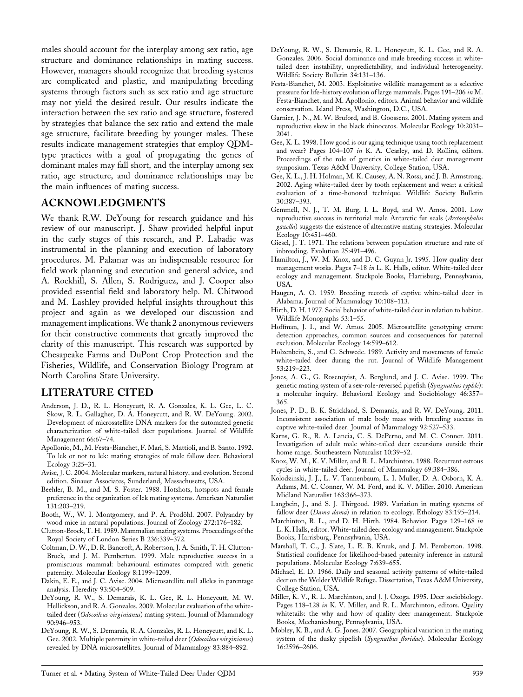males should account for the interplay among sex ratio, age structure and dominance relationships in mating success. However, managers should recognize that breeding systems are complicated and plastic, and manipulating breeding systems through factors such as sex ratio and age structure may not yield the desired result. Our results indicate the interaction between the sex ratio and age structure, fostered by strategies that balance the sex ratio and extend the male age structure, facilitate breeding by younger males. These results indicate management strategies that employ QDMtype practices with a goal of propagating the genes of dominant males may fall short, and the interplay among sex ratio, age structure, and dominance relationships may be the main influences of mating success.

#### ACKNOWLEDGMENTS

We thank R.W. DeYoung for research guidance and his review of our manuscript. J. Shaw provided helpful input in the early stages of this research, and P. Labadie was instrumental in the planning and execution of laboratory procedures. M. Palamar was an indispensable resource for field work planning and execution and general advice, and A. Rockhill, S. Allen, S. Rodriguez, and J. Cooper also provided essential field and laboratory help. M. Chitwood and M. Lashley provided helpful insights throughout this project and again as we developed our discussion and management implications. We thank 2 anonymous reviewers for their constructive comments that greatly improved the clarity of this manuscript. This research was supported by Chesapeake Farms and DuPont Crop Protection and the Fisheries, Wildlife, and Conservation Biology Program at North Carolina State University.

#### LITERATURE CITED

- Anderson, J. D., R. L. Honeycutt, R. A. Gonzales, K. L. Gee, L. C. Skow, R. L. Gallagher, D. A. Honeycutt, and R. W. DeYoung. 2002. Development of microsatellite DNA markers for the automated genetic characterization of white-tailed deer populations. Journal of Wildlife Management 66:67–74.
- Apollonio, M., M. Festa-Bianchet, F. Mari, S. Mattioli, and B. Santo. 1992. To lek or not to lek: mating strategies of male fallow deer. Behavioral Ecology 3:25–31.
- Avise, J. C. 2004. Molecular markers, natural history, and evolution. Second edition. Sinauer Associates, Sunderland, Massachusetts, USA.
- Beehler, B. M., and M. S. Foster. 1988. Hotshots, hotspots and female preference in the organization of lek mating systems. American Naturalist 131:203–219.
- Booth, W., W. I. Montgomery, and P. A. Prodöhl. 2007. Polyandry by wood mice in natural populations. Journal of Zoology 272:176–182.
- Clutton-Brock, T. H. 1989. Mammalian mating systems. Proceedings of the Royal Society of London Series B 236:339–372.
- Coltman, D. W., D. R. Bancroft, A. Robertson, J. A. Smith, T. H. Clutton-Brock, and J. M. Pemberton. 1999. Male reproductive success in a promiscuous mammal: behavioural estimates compared with genetic paternity. Molecular Ecology 8:1199–1209.
- Dakin, E. E., and J. C. Avise. 2004. Microsatellite null alleles in parentage analysis. Heredity 93:504–509.
- DeYoung, R. W., S. Demarais, K. L. Gee, R. L. Honeycutt, M. W. Hellickson, and R. A. Gonzales. 2009. Molecular evaluation of the whitetailed deer (Odocoileus virginianus) mating system. Journal of Mammalogy 90:946–953.
- DeYoung, R. W., S. Demarais, R. A. Gonzales, R. L. Honeycutt, and K. L. Gee. 2002. Multiple paternity in white-tailed deer (Odocoileus virginianus) revealed by DNA microsatellites. Journal of Mammalogy 83:884–892.
- DeYoung, R. W., S. Demarais, R. L. Honeycutt, K. L. Gee, and R. A. Gonzales. 2006. Social dominance and male breeding success in whitetailed deer: instability, unpredictability, and individual heterogeneity. Wildlife Society Bulletin 34:131–136.
- Festa-Bianchet, M. 2003. Exploitative wildlife management as a selective pressure for life-history evolution of large mammals. Pages 191–206 in M. Festa-Bianchet, and M. Apollonio, editors. Animal behavior and wildlife conservation. Island Press, Washington, D.C., USA.
- Garnier, J. N., M. W. Bruford, and B. Goossens. 2001. Mating system and reproductive skew in the black rhinoceros. Molecular Ecology 10:2031– 2041.
- Gee, K. L. 1998. How good is our aging technique using tooth replacement and wear? Pages 104–107 in K. A. Cearley, and D. Rollins, editors. Proceedings of the role of genetics in white-tailed deer management symposium. Texas A&M University, College Station, USA.
- Gee, K. L., J. H. Holman, M. K. Causey, A. N. Rossi, and J. B. Armstrong. 2002. Aging white-tailed deer by tooth replacement and wear: a critical evaluation of a time-honored technique. Wildlife Society Bulletin 30:387–393.
- Gemmell, N. J., T. M. Burg, I. L. Boyd, and W. Amos. 2001. Low reproductive success in territorial male Antarctic fur seals (Arctocephalus gazella) suggests the existence of alternative mating strategies. Molecular Ecology 10:451–460.
- Giesel, J. T. 1971. The relations between population structure and rate of inbreeding. Evolution 25:491–496.
- Hamilton, J., W. M. Knox, and D. C. Guynn Jr. 1995. How quality deer management works. Pages 7–18 in L. K. Halls, editor. White-tailed deer ecology and management. Stackpole Books, Harrisburg, Pennsylvania, USA.
- Haugen, A. O. 1959. Breeding records of captive white-tailed deer in Alabama. Journal of Mammalogy 10:108–113.
- Hirth, D. H. 1977. Social behavior of white-tailed deer in relation to habitat. Wildlife Monographs 53:1–55.
- Hoffman, J. I., and W. Amos. 2005. Microsatellite genotyping errors: detection approaches, common sources and consequences for paternal exclusion. Molecular Ecology 14:599–612.
- Holzenbein, S., and G. Schwede. 1989. Activity and movements of female white-tailed deer during the rut. Journal of Wildlife Management 53:219–223.
- Jones, A. G., G. Rosenqvist, A. Berglund, and J. C. Avise. 1999. The genetic mating system of a sex-role-reversed pipefish (Syngnathus typhle): a molecular inquiry. Behavioral Ecology and Sociobiology 46:357– 365.
- Jones, P. D., B. K. Strickland, S. Demarais, and R. W. DeYoung. 2011. Inconsistent association of male body mass with breeding success in captive white-tailed deer. Journal of Mammalogy 92:527–533.
- Karns, G. R., R. A. Lancia, C. S. DePerno, and M. C. Conner. 2011. Investigation of adult male white-tailed deer excursions outside their home range. Southeastern Naturalist 10:39–52.
- Knox, W. M., K. V. Miller, and R. L. Marchinton. 1988. Recurrent estrous cycles in white-tailed deer. Journal of Mammalogy 69:384–386.
- Kolodzinski, J. J., L. V. Tannenbaum, L. I. Muller, D. A. Osborn, K. A. Adams, M. C. Conner, W. M. Ford, and K. V. Miller. 2010. American Midland Naturalist 163:366–373.
- Langbein, J., and S. J. Thirgood. 1989. Variation in mating systems of fallow deer (Dama dama) in relation to ecology. Ethology 83:195-214.
- Marchinton, R. L., and D. H. Hirth. 1984. Behavior. Pages 129–168 in L. K. Halls, editor. White-tailed deer ecology and management. Stackpole Books, Harrisburg, Pennsylvania, USA.
- Marshall, T. C., J. Slate, L. E. B. Kruuk, and J. M. Pemberton. 1998. Statistical confidence for likelihood-based paternity inference in natural populations. Molecular Ecology 7:639–655.
- Michael, E. D. 1966. Daily and seasonal activity patterns of white-tailed deer on the Welder Wildlife Refuge. Dissertation, Texas A&M University, College Station, USA.
- Miller, K. V., R. L. Marchinton, and J. J. Ozoga. 1995. Deer sociobiology. Pages 118–128 in K. V. Miller, and R. L. Marchinton, editors. Quality whitetails: the why and how of quality deer management. Stackpole Books, Mechanicsburg, Pennsylvania, USA.
- Mobley, K. B., and A. G. Jones. 2007. Geographical variation in the mating system of the dusky pipefish (Syngnathus floridae). Molecular Ecology 16:2596–2606.